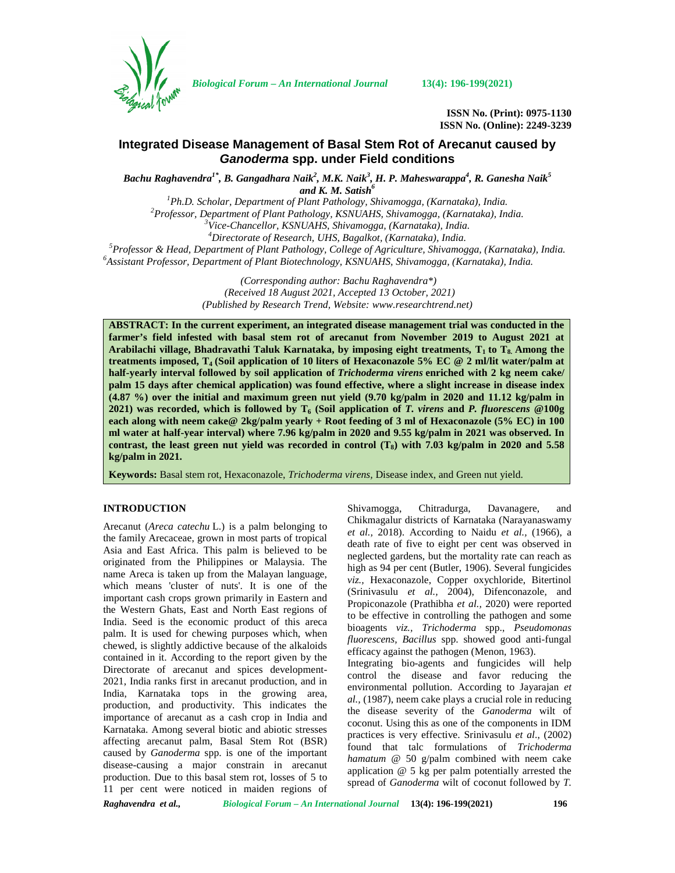

*Biological Forum – An International Journal* **13(4): 196-199(2021)**

**ISSN No. (Print): 0975-1130 ISSN No. (Online): 2249-3239**

# **Integrated Disease Management of Basal Stem Rot of Arecanut caused by** *Ganoderma* **spp. under Field conditions**

*Bachu Raghavendra1\*, B. Gangadhara Naik<sup>2</sup> , M.K. Naik<sup>3</sup> , H. P. Maheswarappa<sup>4</sup> , R. Ganesha Naik<sup>5</sup>*

and K. M. Satish<sup>6</sup><br><sup>1</sup>Ph.D. Scholar, Department of Plant Pathology, Shivamogga, (Karnataka), India. <sup>2</sup>Professor, Department of Plant Pathology, KSNUAHS, Shivamogga, (Karnataka), India.<br><sup>3</sup>Vice-Chancellor, KSNUAHS, Shivamogga, (Karnataka), India.<br><sup>4</sup>Directorate of Research, UHS, Bagalkot, (Karnataka), India.<br><sup>5</sup>Professo

> *(Corresponding author: Bachu Raghavendra\*) (Received 18 August 2021, Accepted 13 October, 2021) (Published by Research Trend, Website: [www.researchtrend.net\)](www.researchtrend.net)*

**ABSTRACT: In the current experiment, an integrated disease management trial was conducted in the farmer's field infested with basal stem rot of arecanut from November 2019 to August 2021 at Arabilachi village, Bhadravathi Taluk Karnataka, by imposing eight treatments***,* **T<sup>1</sup> to T8. Among the treatments imposed, T<sup>4</sup> (Soil application of 10 liters of Hexaconazole 5% EC @ 2 ml/lit water/palm at half-yearly interval followed by soil application of** *Trichoderma virens* **enriched with 2 kg neem cake/ palm 15 days after chemical application) was found effective, where a slight increase in disease index (4.87 %) over the initial and maximum green nut yield (9.70 kg/palm in 2020 and 11.12 kg/palm in 2021)** was recorded, which is followed by  $T_6$  (Soil application of *T. virens* and *P. fluorescens*  $@100g$ **each along with neem cake@ 2kg/palm yearly + Root feeding of 3 ml of Hexaconazole (5% EC) in 100 ml water at half-year interval) where 7.96 kg/palm in 2020 and 9.55 kg/palm in 2021 was observed. In contrast, the least green nut yield was recorded in control (T8) with 7.03 kg/palm in 2020 and 5.58 kg/palm in 2021.**

**Keywords:** Basal stem rot, Hexaconazole, *Trichoderma virens,* Disease index, and Green nut yield.

# **INTRODUCTION**

Arecanut (*Areca catechu* L.) is a palm belonging to the family Arecaceae, grown in most parts of tropical Asia and East Africa. This palm is believed to be originated from the Philippines or Malaysia. The name Areca is taken up from the Malayan language, which means 'cluster of nuts'. It is one of the important cash crops grown primarily in Eastern and the Western Ghats, East and North East regions of India. Seed is the economic product of this areca palm. It is used for chewing purposes which, when chewed, is slightly addictive because of the alkaloids contained in it. According to the report given by the Directorate of arecanut and spices development- 2021, India ranks first in arecanut production, and in India, Karnataka tops in the growing area, production, and productivity. This indicates the importance of arecanut as a cash crop in India and Karnataka. Among several biotic and abiotic stresses affecting arecanut palm, Basal Stem Rot (BSR) caused by *Ganoderma* spp. is one of the important disease-causing a major constrain in arecanut production. Due to this basal stem rot, losses of 5 to 11 per cent were noticed in maiden regions of

Shivamogga, Chitradurga, Davanagere, and Chikmagalur districts of Karnataka (Narayanaswamy *et al.,* 2018). According to Naidu *et al.,* (1966), a death rate of five to eight per cent was observed in neglected gardens, but the mortality rate can reach as high as 94 per cent (Butler, 1906). Several fungicides *viz.,* Hexaconazole, Copper oxychloride, Bitertinol (Srinivasulu *et al.,* 2004), Difenconazole, and Propiconazole (Prathibha *et al.,* 2020) were reported to be effective in controlling the pathogen and some bioagents *viz., Trichoderma* spp., *Pseudomonas fluorescens, Bacillus* spp. showed good anti-fungal efficacy against the pathogen (Menon, 1963).

Integrating bio-agents and fungicides will help control the disease and favor reducing the environmental pollution. According to Jayarajan *et al.,* (1987), neem cake plays a crucial role in reducing the disease severity of the *Ganoderma* wilt of coconut. Using this as one of the components in IDM practices is very effective. Srinivasulu *et al*., (2002) found that talc formulations of *Trichoderma hamatum* @ 50 g/palm combined with neem cake application @ 5 kg per palm potentially arrested the spread of *Ganoderma* wilt of coconut followed by *T.*

*Raghavendra et al., Biological Forum – An International Journal* **13(4): 196-199(2021) 196**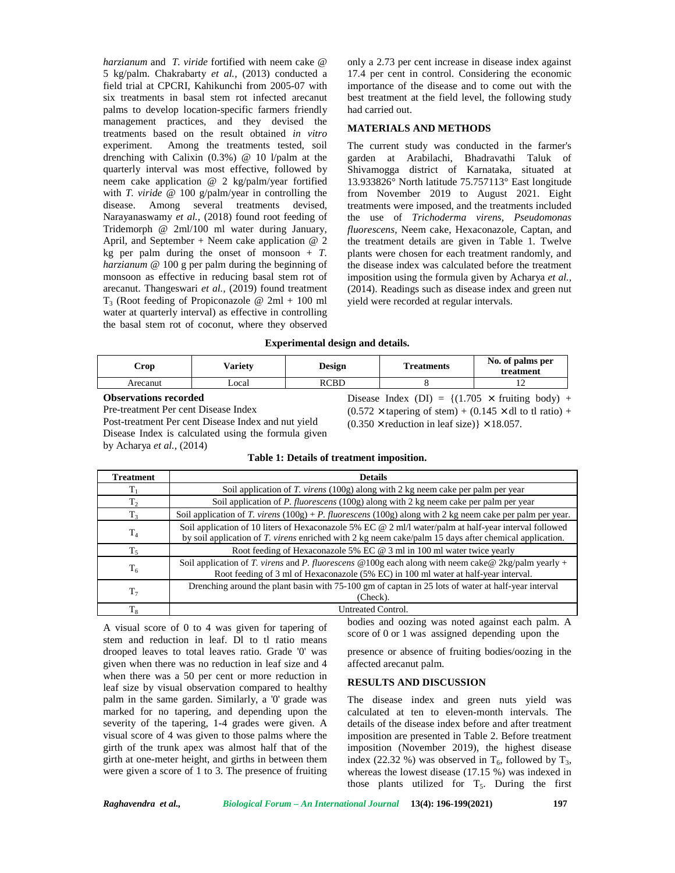*harzianum* and*T. viride* fortified with neem cake @ 5 kg/palm. Chakrabarty *et al.,* (2013) conducted a field trial at CPCRI, Kahikunchi from 2005-07 with six treatments in basal stem rot infected arecanut palms to develop location-specific farmers friendly management practices, and they devised the treatments based on the result obtained *in vitro* experiment. Among the treatments tested, soil drenching with Calixin (0.3%) @ 10 l/palm at the quarterly interval was most effective, followed by neem cake application @ 2 kg/palm/year fortified with *T. viride* @ 100 g/palm/year in controlling the disease. Among several treatments devised, Narayanaswamy *et al.,* (2018) found root feeding of Tridemorph @ 2ml/100 ml water during January, April, and September + Neem cake application  $@$  2 kg per palm during the onset of monsoon  $+T$ . *harzianum* @ 100 g per palm during the beginning of monsoon as effective in reducing basal stem rot of arecanut. Thangeswari *et al.,* (2019) found treatment  $T_3$  (Root feeding of Propiconazole @ 2ml + 100 ml water at quarterly interval) as effective in controlling the basal stem rot of coconut, where they observed

only a 2.73 per cent increase in disease index against 17.4 per cent in control. Considering the economic importance of the disease and to come out with the best treatment at the field level, the following study had carried out.

## **MATERIALS AND METHODS**

The current study was conducted in the farmer's garden at Arabilachi, Bhadravathi Taluk of Shivamogga district of Karnataka, situated at 13.933826° North latitude 75.757113° East longitude from November 2019 to August 2021. Eight treatments were imposed, and the treatments included the use of *Trichoderma virens, Pseudomonas fluorescens,* Neem cake, Hexaconazole, Captan, and the treatment details are given in Table 1. Twelve plants were chosen for each treatment randomly, and the disease index was calculated before the treatment imposition using the formula given by Acharya *et al.,* (2014). Readings such as disease index and green nut yield were recorded at regular intervals.

#### **Experimental design and details.**

| Crop                       | Varietv | <b>Design</b> | <b>Treatments</b>                                                  | No. of palms per<br>treatment |
|----------------------------|---------|---------------|--------------------------------------------------------------------|-------------------------------|
| Arecanut                   | Local   | RCBD          |                                                                    |                               |
| <u>Absolute Contractor</u> |         |               | $\mathbb{R}^1$ $\mathbb{I}$ $\mathbb{I}$ $\mathbb{I}$ $\mathbb{I}$ | $(1.1707 \ldots 0.111)$       |

**Observations recorded**

Pre-treatment Per cent Disease Index Post-treatment Per cent Disease Index and nut yield Disease Index is calculated using the formula given by Acharya *et al.,* (2014)

Disease Index (DI) =  $\{(1.705 \times \text{fruiting body}) +$  $(0.572 \times \text{tapering of stem}) + (0.145 \times \text{dl to tl ratio}) +$  $(0.350 \times$  reduction in leaf size)}  $\times$  18.057.

| Table 1: Details of treatment imposition. |  |  |
|-------------------------------------------|--|--|
|-------------------------------------------|--|--|

| Treatment      | <b>Details</b>                                                                                                                                                                                                   |
|----------------|------------------------------------------------------------------------------------------------------------------------------------------------------------------------------------------------------------------|
|                | Soil application of T. virens $(100g)$ along with 2 kg neem cake per palm per year                                                                                                                               |
| т,             | Soil application of P. fluorescens (100g) along with 2 kg neem cake per palm per year                                                                                                                            |
| $T_{3}$        | Soil application of T. virens $(100g) + P$ . fluorescens $(100g)$ along with 2 kg neem cake per palm per year.                                                                                                   |
| $T_4$          | Soil application of 10 liters of Hexaconazole 5% EC @ 2 ml/l water/palm at half-year interval followed<br>by soil application of T. virens enriched with 2 kg neem cake/palm 15 days after chemical application. |
|                | Root feeding of Hexaconazole 5% EC @ 3 ml in 100 ml water twice yearly                                                                                                                                           |
| T <sub>6</sub> | Soil application of T. virens and P. fluorescens @100g each along with neem cake @2kg/palm yearly +<br>Root feeding of 3 ml of Hexaconazole (5% EC) in 100 ml water at half-year interval.                       |
| $T_7$          | Drenching around the plant basin with 75-100 gm of captan in 25 lots of water at half-year interval<br>(Check).                                                                                                  |
|                | Untreated Control.                                                                                                                                                                                               |

A visual score of 0 to 4 was given for tapering of stem and reduction in leaf. Dl to tl ratio means drooped leaves to total leaves ratio. Grade '0' was given when there was no reduction in leaf size and 4 when there was a 50 per cent or more reduction in leaf size by visual observation compared to healthy palm in the same garden. Similarly, a '0' grade was marked for no tapering, and depending upon the severity of the tapering, 1-4 grades were given. A visual score of 4 was given to those palms where the girth of the trunk apex was almost half that of the girth at one-meter height, and girths in between them were given a score of 1 to 3. The presence of fruiting bodies and oozing was noted against each palm. A score of 0 or 1 was assigned depending upon the

presence or absence of fruiting bodies/oozing in the affected arecanut palm.

## **RESULTS AND DISCUSSION**

The disease index and green nuts yield was calculated at ten to eleven-month intervals. The details of the disease index before and after treatment imposition are presented in Table 2. Before treatment imposition (November 2019), the highest disease index (22.32 %) was observed in  $T_6$ , followed by  $T_3$ , whereas the lowest disease (17.15 %) was indexed in those plants utilized for  $T_5$ . During the first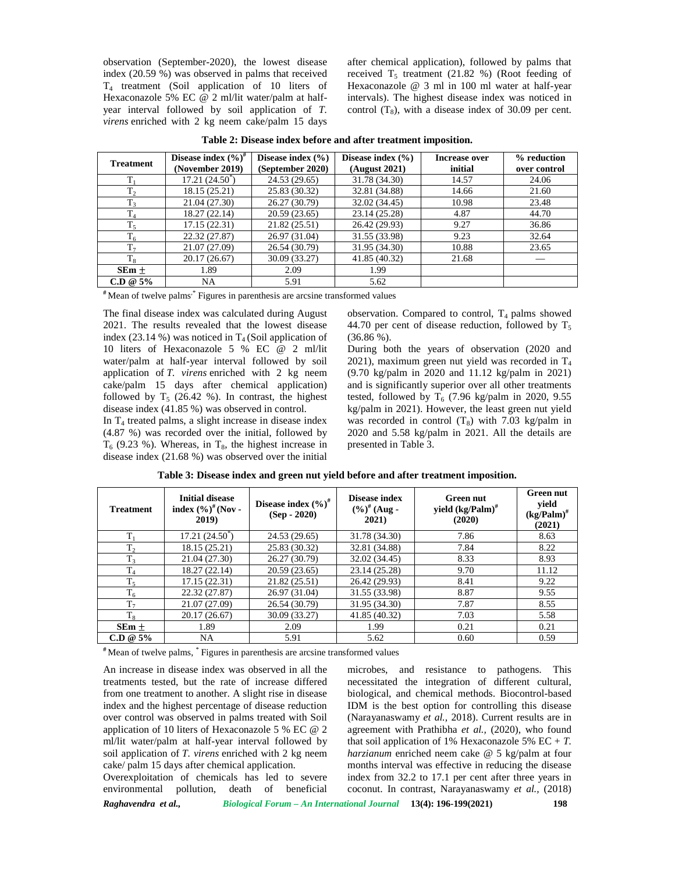observation (September-2020), the lowest disease index (20.59 %) was observed in palms that received T<sup>4</sup> treatment (Soil application of 10 liters of Hexaconazole 5% EC @ 2 ml/lit water/palm at half year interval followed by soil application of *T. virens* enriched with 2 kg neem cake/palm 15 days after chemical application), followed by palms that received  $T_5$  treatment (21.82 %) (Root feeding of Hexaconazole @ 3 ml in 100 ml water at half-year intervals). The highest disease index was noticed in control  $(T_8)$ , with a disease index of 30.09 per cent.

| <b>Treatment</b>    | Disease index $(\%)^{\#}$<br>(November 2019) | Disease index $(\% )$<br>(September 2020) | Disease index $(\% )$<br>(August 2021) | Increase over<br>initial | % reduction<br>over control |
|---------------------|----------------------------------------------|-------------------------------------------|----------------------------------------|--------------------------|-----------------------------|
|                     | $17.21(24.50^{\circ})$                       | 24.53 (29.65)                             | 31.78 (34.30)                          | 14.57                    | 24.06                       |
| T <sub>2</sub>      | 18.15 (25.21)                                | 25.83 (30.32)                             | 32.81 (34.88)                          | 14.66                    | 21.60                       |
| T <sub>3</sub>      | 21.04 (27.30)                                | 26.27 (30.79)                             | 32.02 (34.45)                          | 10.98                    | 23.48                       |
| T <sub>4</sub>      | 18.27 (22.14)                                | 20.59(23.65)                              | 23.14 (25.28)                          | 4.87                     | 44.70                       |
| T<br>1 <sub>5</sub> | 17.15 (22.31)                                | 21.82(25.51)                              | 26.42 (29.93)                          | 9.27                     | 36.86                       |
| T<br>1 <sub>6</sub> | 22.32 (27.87)                                | 26.97 (31.04)                             | 31.55 (33.98)                          | 9.23                     | 32.64                       |
| T <sub>7</sub>      | 21.07 (27.09)                                | 26.54 (30.79)                             | 31.95 (34.30)                          | 10.88                    | 23.65                       |
| $T_{\rm R}$         | 20.17 (26.67)                                | 30.09 (33.27)                             | 41.85 (40.32)                          | 21.68                    |                             |
| $SEm \pm$           | 1.89                                         | 2.09                                      | 1.99                                   |                          |                             |
| $C.D @ 5\%$         | NA                                           | 5.91                                      | 5.62                                   |                          |                             |

**Table 2: Disease index before and after treatment imposition.**

**#** Mean of twelve palms,\* Figures in parenthesis are arcsine transformed values

The final disease index was calculated during August 2021. The results revealed that the lowest disease index (23.14 %) was noticed in  $T_4$  (Soil application of 10 liters of Hexaconazole 5 % EC @ 2 ml/lit water/palm at half-year interval followed by soil application of *T. virens* enriched with 2 kg neem cake/palm 15 days after chemical application) followed by  $T_5$  (26.42 %). In contrast, the highest disease index (41.85 %) was observed in control.

In  $T_4$  treated palms, a slight increase in disease index (4.87 %) was recorded over the initial, followed by  $T<sub>6</sub>$  (9.23 %). Whereas, in  $T<sub>8</sub>$ , the highest increase in disease index (21.68 %) was observed over the initial

observation. Compared to control,  $T_4$  palms showed 44.70 per cent of disease reduction, followed by  $T_5$  $(36.86\%).$ 

During both the years of observation (2020 and 2021), maximum green nut yield was recorded in  $T_4$ (9.70 kg/palm in 2020 and 11.12 kg/palm in 2021) and is significantly superior over all other treatments tested, followed by  $T_6$  (7.96 kg/palm in 2020, 9.55) kg/palm in 2021). However, the least green nut yield was recorded in control  $(T_8)$  with 7.03 kg/palm in 2020 and 5.58 kg/palm in 2021. All the details are presented in Table 3.

| <b>Treatment</b> | <b>Initial disease</b><br>index $(\%)^{\#}$ (Nov -<br>2019) | Disease index $(\%)^{\#}$<br>$(Sep - 2020)$ | <b>Disease index</b><br>$(\%)^{\#}$ (Aug -<br>2021) | <b>Green nut</b><br>yield $(kg/Palm)^{\#}$<br>(2020) | <b>Green nut</b><br>yield<br>$(kg/Palm)^{\#}$<br>(2021) |
|------------------|-------------------------------------------------------------|---------------------------------------------|-----------------------------------------------------|------------------------------------------------------|---------------------------------------------------------|
| $T_{1}$          | $17.21(24.50^{\circ})$                                      | 24.53 (29.65)                               | 31.78 (34.30)                                       | 7.86                                                 | 8.63                                                    |
| T <sub>2</sub>   | 18.15 (25.21)                                               | 25.83 (30.32)                               | 32.81 (34.88)                                       | 7.84                                                 | 8.22                                                    |
| T <sub>3</sub>   | 21.04 (27.30)                                               | 26.27 (30.79)                               | 32.02 (34.45)                                       | 8.33                                                 | 8.93                                                    |
| T <sub>4</sub>   | 18.27 (22.14)                                               | 20.59 (23.65)                               | 23.14 (25.28)                                       | 9.70                                                 | 11.12                                                   |
| $T_5$            | 17.15(22.31)                                                | 21.82 (25.51)                               | 26.42 (29.93)                                       | 8.41                                                 | 9.22                                                    |
| $T_6$            | 22.32 (27.87)                                               | 26.97 (31.04)                               | 31.55 (33.98)                                       | 8.87                                                 | 9.55                                                    |
| T <sub>7</sub>   | 21.07 (27.09)                                               | 26.54 (30.79)                               | 31.95 (34.30)                                       | 7.87                                                 | 8.55                                                    |
| $T_{8}$          | 20.17 (26.67)                                               | 30.09 (33.27)                               | 41.85 (40.32)                                       | 7.03                                                 | 5.58                                                    |
| $SEm \pm$        | 1.89                                                        | 2.09                                        | 1.99                                                | 0.21                                                 | 0.21                                                    |
| $C.D @ 5\%$      | NA                                                          | 5.91                                        | 5.62                                                | 0.60                                                 | 0.59                                                    |

**Table 3: Disease index and green nut yield before and after treatment imposition.**

**#** Mean of twelve palms, \* Figures in parenthesis are arcsine transformed values

An increase in disease index was observed in all the treatments tested, but the rate of increase differed from one treatment to another. A slight rise in disease index and the highest percentage of disease reduction over control was observed in palms treated with Soil application of 10 liters of Hexaconazole 5 % EC @ 2 ml/lit water/palm at half-year interval followed by soil application of *T. virens* enriched with 2 kg neem cake/ palm 15 days after chemical application.

Overexploitation of chemicals has led to severe environmental pollution, death of beneficial

*Raghavendra et al., Biological Forum – An International Journal* **13(4): 196-199(2021) 198** microbes, and resistance to pathogens. This necessitated the integration of different cultural, biological, and chemical methods. Biocontrol-based IDM is the best option for controlling this disease (Narayanaswamy *et al.,* 2018). Current results are in agreement with Prathibha *et al.,* (2020), who found that soil application of 1% Hexaconazole 5%  $EC + T$ . *harzianum* enriched neem cake @ 5 kg/palm at four months interval was effective in reducing the disease index from 32.2 to 17.1 per cent after three years in coconut. In contrast, Narayanaswamy *et al.,* (2018)